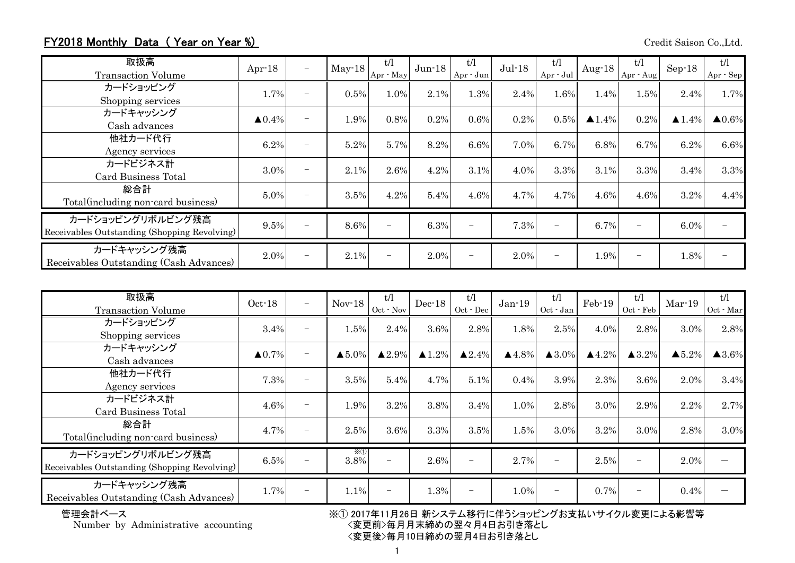## FY2018 Monthly Data (Year on Year %) Credit Saison Co.,Ltd.

| 取扱高<br><b>Transaction Volume</b>                                  | Apr $-18$         | $\overline{\phantom{m}}$ | $May-18$ | t/l<br>Apr · May | $Jun-18$ | t/l<br>Apr - Jun         | $Jul-18$ | t/1<br>$Apr - Jul$       | Aug- $18$             | t/l<br>Apr - Aug | $Sep-18$              | t/l<br>$Apr \cdot Sep$ |
|-------------------------------------------------------------------|-------------------|--------------------------|----------|------------------|----------|--------------------------|----------|--------------------------|-----------------------|------------------|-----------------------|------------------------|
| カードショッピング<br>Shopping services                                    | 1.7%              | $\overline{\phantom{0}}$ | 0.5%     | 1.0%             | 2.1%     | 1.3%                     | 2.4%     | 1.6%                     | 1.4%                  | 1.5%             | 2.4%                  | 1.7%                   |
| カードキャッシング<br>Cash advances                                        | $\triangle 0.4\%$ |                          | 1.9%     | 0.8%             | 0.2%     | 0.6%                     | 0.2%     | 0.5%                     | $\blacktriangle$ 1.4% | 0.2%             | $\blacktriangle$ 1.4% | $\blacktriangle 0.6\%$ |
| 他社カード代行<br>Agency services                                        | 6.2%              | $\overline{\phantom{0}}$ | 5.2%     | 5.7%             | 8.2%     | 6.6%                     | 7.0%     | 6.7%                     | 6.8%                  | 6.7%             | 6.2%                  | 6.6%                   |
| カードビジネス計<br>Card Business Total                                   | 3.0%              |                          | 2.1%     | 2.6%             | 4.2%     | 3.1%                     | 4.0%     | 3.3%                     | 3.1%                  | 3.3%             | 3.4%                  | 3.3%                   |
| 総合計<br>Total (including non-card business)                        | 5.0%              |                          | 3.5%     | 4.2%             | 5.4%     | 4.6%                     | 4.7%     | 4.7%                     | 4.6%                  | 4.6%             | 3.2%                  | 4.4%                   |
| カードショッピングリボルビング残高<br>Receivables Outstanding (Shopping Revolving) | 9.5%              | $\overline{\phantom{0}}$ | 8.6%     |                  | 6.3%     | $\qquad \qquad -$        | 7.3%     | $\overline{\phantom{0}}$ | 6.7%                  |                  | 6.0%                  |                        |
| カードキャッシング残高<br>Receivables Outstanding (Cash Advances)            | 2.0%              |                          | 2.1%     |                  | 2.0%     | $\overline{\phantom{0}}$ | 2.0%     |                          | 1.9%                  |                  | 1.8%                  |                        |

| 取扱高<br><b>Transaction Volume</b>                                  | $Oct-18$          | $\overline{\phantom{m}}$ | $Nov-18$           | t/l<br>$Oct$ $\cdot$ Nov | $Dec-18$          | t/l<br>$Oct - Dec$       | $Jan-19$              | t/l<br>Oct - Jan  | Feb-19           | t/l<br>$Oct$ $\cdot$ $Feb$ | $Mar-19$               | t/l<br>Oct - Mar      |
|-------------------------------------------------------------------|-------------------|--------------------------|--------------------|--------------------------|-------------------|--------------------------|-----------------------|-------------------|------------------|----------------------------|------------------------|-----------------------|
| カードショッピング<br>Shopping services                                    | 3.4%              |                          | 1.5%               | 2.4%                     | 3.6%              | 2.8%                     | 1.8%                  | 2.5%              | 4.0%             | 2.8%                       | 3.0%                   | 2.8%                  |
| カードキャッシング<br>Cash advances                                        | $\triangle 0.7\%$ |                          | $\triangle 5.0\%$  | $\blacktriangle 2.9\%$   | $\triangle 1.2\%$ | $\triangle 2.4\%$        | $\blacktriangle$ 4.8% | $\triangle 3.0\%$ | $\triangle$ 4.2% | $\blacktriangle$ 3.2%      | $\blacktriangle 5.2\%$ | $\blacktriangle$ 3.6% |
| 他社カード代行<br>Agency services                                        | 7.3%              | $\overline{\phantom{0}}$ | 3.5%               | 5.4%                     | 4.7%              | 5.1%                     | 0.4%                  | 3.9%              | 2.3%             | 3.6%                       | 2.0%                   | 3.4%                  |
| カードビジネス計<br>Card Business Total                                   | 4.6%              |                          | 1.9%               | 3.2%                     | 3.8%              | 3.4%                     | 1.0%                  | 2.8%              | 3.0%             | 2.9%                       | 2.2%                   | 2.7%                  |
| 総合計<br>Total(including non-card business)                         | 4.7%              |                          | 2.5%               | 3.6%                     | 3.3%              | 3.5%                     | 1.5%                  | 3.0%              | 3.2%             | 3.0%                       | 2.8%                   | 3.0%                  |
| カードショッピングリボルビング残高<br>Receivables Outstanding (Shopping Revolving) | 6.5%              |                          | $\times 0$<br>3.8% |                          | 2.6%              | $\qquad \qquad -$        | 2.7%                  |                   | 2.5%             | $\overline{\phantom{0}}$   | 2.0%                   |                       |
| カードキャッシング残高<br>Receivables Outstanding (Cash Advances)            | 1.7%              | $\overline{\phantom{0}}$ | 1.1%               |                          | 1.3%              | $\overline{\phantom{m}}$ | 1.0%                  |                   | 0.7%             | $\qquad \qquad -$          | 0.4%                   |                       |

管理会計ベース ※① 2017年11月26日 新システム移行に伴うショッピングお支払いサイクル変更による影響等 Number by Administrative accounting <変更前>毎月月末締めの翌々月4日お引き落とし <変更後>毎月10日締めの翌月4日お引き落とし